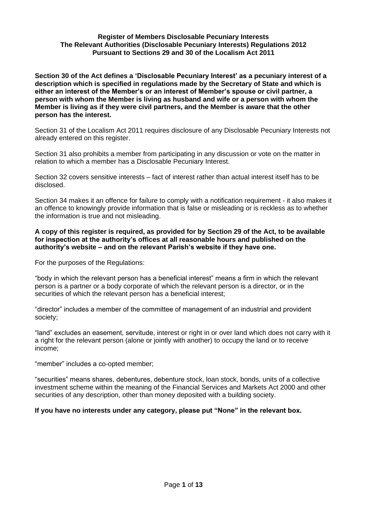#### **Register of Members Disclosable Pecuniary Interests The Relevant Authorities (Disclosable Pecuniary Interests) Regulations 2012 Pursuant to Sections 29 and 30 of the Localism Act 2011**

**Section 30 of the Act defines a 'Disclosable Pecuniary Interest' as a pecuniary interest of a description which is specified in regulations made by the Secretary of State and which is either an interest of the Member's or an interest of Member's spouse or civil partner, a person with whom the Member is living as husband and wife or a person with whom the Member is living as if they were civil partners, and the Member is aware that the other person has the interest.**

Section 31 of the Localism Act 2011 requires disclosure of any Disclosable Pecuniary Interests not already entered on this register.

Section 31 also prohibits a member from participating in any discussion or vote on the matter in relation to which a member has a Disclosable Pecuniary Interest.

Section 32 covers sensitive interests – fact of interest rather than actual interest itself has to be disclosed.

Section 34 makes it an offence for failure to comply with a notification requirement - it also makes it an offence to knowingly provide information that is false or misleading or is reckless as to whether the information is true and not misleading.

#### **A copy of this register is required, as provided for by Section 29 of the Act, to be available for inspection at the authority's offices at all reasonable hours and published on the authority's website – and on the relevant Parish's website if they have one.**

For the purposes of the Regulations:

"body in which the relevant person has a beneficial interest" means a firm in which the relevant person is a partner or a body corporate of which the relevant person is a director, or in the securities of which the relevant person has a beneficial interest;

"director" includes a member of the committee of management of an industrial and provident society;

"land" excludes an easement, servitude, interest or right in or over land which does not carry with it a right for the relevant person (alone or jointly with another) to occupy the land or to receive income;

"member" includes a co-opted member;

"securities" means shares, debentures, debenture stock, loan stock, bonds, units of a collective investment scheme within the meaning of the Financial Services and Markets Act 2000 and other securities of any description, other than money deposited with a building society.

#### **If you have no interests under any category, please put "None" in the relevant box.**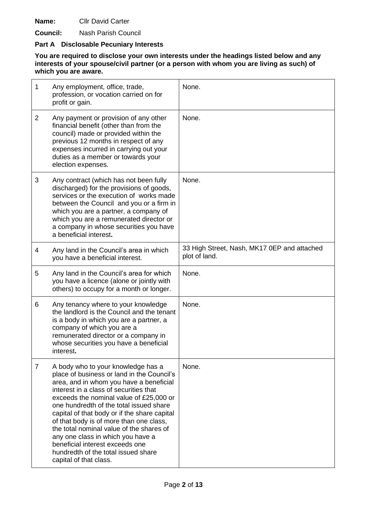**Name:** Cllr David Carter

**Council:** Nash Parish Council

# **Part A Disclosable Pecuniary Interests**

| 1              | Any employment, office, trade,<br>profession, or vocation carried on for<br>profit or gain.                                                                                                                                                                                                                                                                                                                                                                                                                                                 | None.                                                        |
|----------------|---------------------------------------------------------------------------------------------------------------------------------------------------------------------------------------------------------------------------------------------------------------------------------------------------------------------------------------------------------------------------------------------------------------------------------------------------------------------------------------------------------------------------------------------|--------------------------------------------------------------|
| $\overline{2}$ | Any payment or provision of any other<br>financial benefit (other than from the<br>council) made or provided within the<br>previous 12 months in respect of any<br>expenses incurred in carrying out your<br>duties as a member or towards your<br>election expenses.                                                                                                                                                                                                                                                                       | None.                                                        |
| 3              | Any contract (which has not been fully<br>discharged) for the provisions of goods,<br>services or the execution of works made<br>between the Council and you or a firm in<br>which you are a partner, a company of<br>which you are a remunerated director or<br>a company in whose securities you have<br>a beneficial interest.                                                                                                                                                                                                           | None.                                                        |
| 4              | Any land in the Council's area in which<br>you have a beneficial interest.                                                                                                                                                                                                                                                                                                                                                                                                                                                                  | 33 High Street, Nash, MK17 0EP and attached<br>plot of land. |
| 5              | Any land in the Council's area for which<br>you have a licence (alone or jointly with<br>others) to occupy for a month or longer.                                                                                                                                                                                                                                                                                                                                                                                                           | None.                                                        |
| 6              | Any tenancy where to your knowledge<br>the landlord is the Council and the tenant<br>is a body in which you are a partner, a<br>company of which you are a<br>remunerated director or a company in<br>whose securities you have a beneficial<br>interest.                                                                                                                                                                                                                                                                                   | None.                                                        |
| 7              | A body who to your knowledge has a<br>place of business or land in the Council's<br>area, and in whom you have a beneficial<br>interest in a class of securities that<br>exceeds the nominal value of £25,000 or<br>one hundredth of the total issued share<br>capital of that body or if the share capital<br>of that body is of more than one class,<br>the total nominal value of the shares of<br>any one class in which you have a<br>beneficial interest exceeds one<br>hundredth of the total issued share<br>capital of that class. | None.                                                        |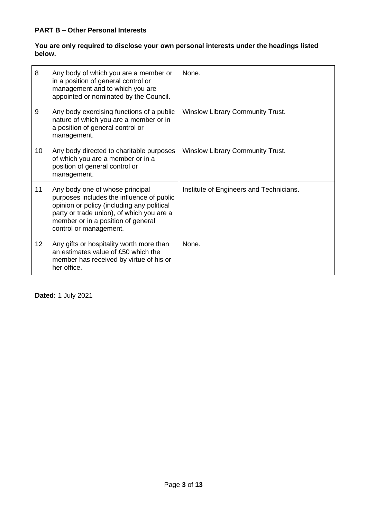### **You are only required to disclose your own personal interests under the headings listed below.**

| 8               | Any body of which you are a member or<br>in a position of general control or<br>management and to which you are<br>appointed or nominated by the Council.                                                                               | None.                                   |
|-----------------|-----------------------------------------------------------------------------------------------------------------------------------------------------------------------------------------------------------------------------------------|-----------------------------------------|
| 9               | Any body exercising functions of a public<br>nature of which you are a member or in<br>a position of general control or<br>management.                                                                                                  | <b>Winslow Library Community Trust.</b> |
| 10              | Any body directed to charitable purposes<br>of which you are a member or in a<br>position of general control or<br>management.                                                                                                          | <b>Winslow Library Community Trust.</b> |
| 11              | Any body one of whose principal<br>purposes includes the influence of public<br>opinion or policy (including any political<br>party or trade union), of which you are a<br>member or in a position of general<br>control or management. | Institute of Engineers and Technicians. |
| 12 <sup>2</sup> | Any gifts or hospitality worth more than<br>an estimates value of £50 which the<br>member has received by virtue of his or<br>her office.                                                                                               | None.                                   |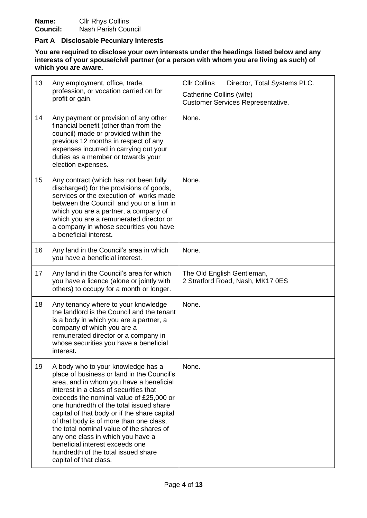#### **Part A Disclosable Pecuniary Interests**

| 13 | Any employment, office, trade,<br>profession, or vocation carried on for<br>profit or gain.                                                                                                                                                                                                                                                                                                                                                                                                                                                 | <b>CIIr Collins</b><br>Director, Total Systems PLC.<br>Catherine Collins (wife)<br><b>Customer Services Representative.</b> |
|----|---------------------------------------------------------------------------------------------------------------------------------------------------------------------------------------------------------------------------------------------------------------------------------------------------------------------------------------------------------------------------------------------------------------------------------------------------------------------------------------------------------------------------------------------|-----------------------------------------------------------------------------------------------------------------------------|
| 14 | Any payment or provision of any other<br>financial benefit (other than from the<br>council) made or provided within the<br>previous 12 months in respect of any<br>expenses incurred in carrying out your<br>duties as a member or towards your<br>election expenses.                                                                                                                                                                                                                                                                       | None.                                                                                                                       |
| 15 | Any contract (which has not been fully<br>discharged) for the provisions of goods,<br>services or the execution of works made<br>between the Council and you or a firm in<br>which you are a partner, a company of<br>which you are a remunerated director or<br>a company in whose securities you have<br>a beneficial interest.                                                                                                                                                                                                           | None.                                                                                                                       |
| 16 | Any land in the Council's area in which<br>you have a beneficial interest.                                                                                                                                                                                                                                                                                                                                                                                                                                                                  | None.                                                                                                                       |
| 17 | Any land in the Council's area for which<br>you have a licence (alone or jointly with<br>others) to occupy for a month or longer.                                                                                                                                                                                                                                                                                                                                                                                                           | The Old English Gentleman,<br>2 Stratford Road, Nash, MK17 0ES                                                              |
| 18 | Any tenancy where to your knowledge<br>the landlord is the Council and the tenant<br>is a body in which you are a partner, a<br>company of which you are a<br>remunerated director or a company in<br>whose securities you have a beneficial<br>interest.                                                                                                                                                                                                                                                                                   | None.                                                                                                                       |
| 19 | A body who to your knowledge has a<br>place of business or land in the Council's<br>area, and in whom you have a beneficial<br>interest in a class of securities that<br>exceeds the nominal value of £25,000 or<br>one hundredth of the total issued share<br>capital of that body or if the share capital<br>of that body is of more than one class,<br>the total nominal value of the shares of<br>any one class in which you have a<br>beneficial interest exceeds one<br>hundredth of the total issued share<br>capital of that class. | None.                                                                                                                       |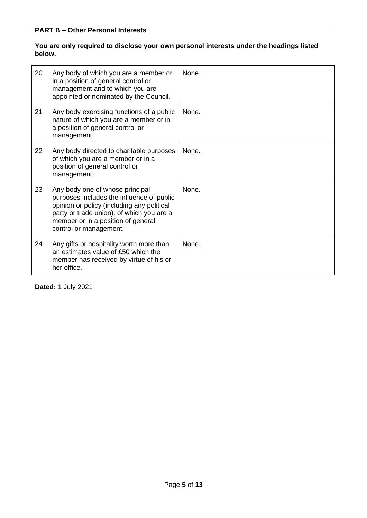### **You are only required to disclose your own personal interests under the headings listed below.**

| 20 | Any body of which you are a member or<br>in a position of general control or<br>management and to which you are<br>appointed or nominated by the Council.                                                                               | None. |
|----|-----------------------------------------------------------------------------------------------------------------------------------------------------------------------------------------------------------------------------------------|-------|
| 21 | Any body exercising functions of a public<br>nature of which you are a member or in<br>a position of general control or<br>management.                                                                                                  | None. |
| 22 | Any body directed to charitable purposes<br>of which you are a member or in a<br>position of general control or<br>management.                                                                                                          | None. |
| 23 | Any body one of whose principal<br>purposes includes the influence of public<br>opinion or policy (including any political<br>party or trade union), of which you are a<br>member or in a position of general<br>control or management. | None. |
| 24 | Any gifts or hospitality worth more than<br>an estimates value of £50 which the<br>member has received by virtue of his or<br>her office.                                                                                               | None. |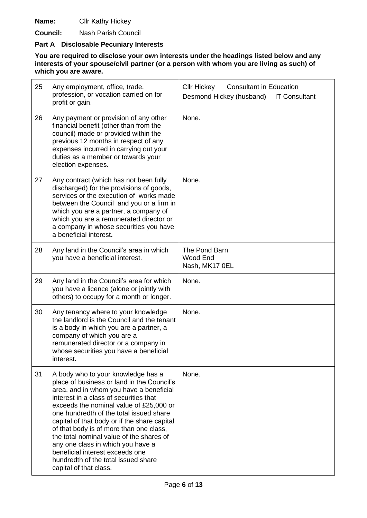**Name:** Cllr Kathy Hickey

**Council:** Nash Parish Council

# **Part A Disclosable Pecuniary Interests**

| 25 | Any employment, office, trade,<br>profession, or vocation carried on for<br>profit or gain.                                                                                                                                                                                                                                                                                                                                                                                                                                                 | <b>Consultant in Education</b><br><b>CIIr Hickey</b><br>Desmond Hickey (husband)<br><b>IT Consultant</b> |
|----|---------------------------------------------------------------------------------------------------------------------------------------------------------------------------------------------------------------------------------------------------------------------------------------------------------------------------------------------------------------------------------------------------------------------------------------------------------------------------------------------------------------------------------------------|----------------------------------------------------------------------------------------------------------|
| 26 | Any payment or provision of any other<br>financial benefit (other than from the<br>council) made or provided within the<br>previous 12 months in respect of any<br>expenses incurred in carrying out your<br>duties as a member or towards your<br>election expenses.                                                                                                                                                                                                                                                                       | None.                                                                                                    |
| 27 | Any contract (which has not been fully<br>discharged) for the provisions of goods,<br>services or the execution of works made<br>between the Council and you or a firm in<br>which you are a partner, a company of<br>which you are a remunerated director or<br>a company in whose securities you have<br>a beneficial interest.                                                                                                                                                                                                           | None.                                                                                                    |
| 28 | Any land in the Council's area in which<br>you have a beneficial interest.                                                                                                                                                                                                                                                                                                                                                                                                                                                                  | The Pond Barn<br>Wood End<br>Nash, MK17 0EL                                                              |
| 29 | Any land in the Council's area for which<br>you have a licence (alone or jointly with<br>others) to occupy for a month or longer.                                                                                                                                                                                                                                                                                                                                                                                                           | None.                                                                                                    |
| 30 | Any tenancy where to your knowledge<br>the landlord is the Council and the tenant<br>is a body in which you are a partner, a<br>company of which you are a<br>remunerated director or a company in<br>whose securities you have a beneficial<br>interest.                                                                                                                                                                                                                                                                                   | None.                                                                                                    |
| 31 | A body who to your knowledge has a<br>place of business or land in the Council's<br>area, and in whom you have a beneficial<br>interest in a class of securities that<br>exceeds the nominal value of £25,000 or<br>one hundredth of the total issued share<br>capital of that body or if the share capital<br>of that body is of more than one class,<br>the total nominal value of the shares of<br>any one class in which you have a<br>beneficial interest exceeds one<br>hundredth of the total issued share<br>capital of that class. | None.                                                                                                    |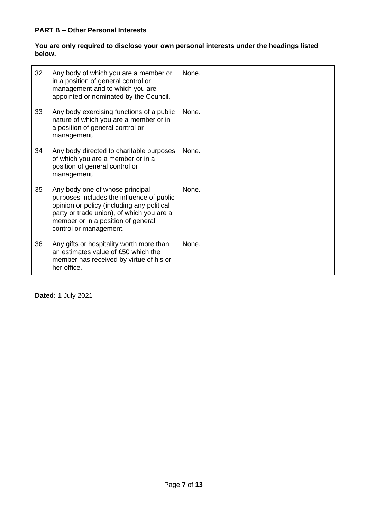### **You are only required to disclose your own personal interests under the headings listed below.**

| 32 | Any body of which you are a member or<br>in a position of general control or<br>management and to which you are<br>appointed or nominated by the Council.                                                                               | None. |
|----|-----------------------------------------------------------------------------------------------------------------------------------------------------------------------------------------------------------------------------------------|-------|
| 33 | Any body exercising functions of a public<br>nature of which you are a member or in<br>a position of general control or<br>management.                                                                                                  | None. |
| 34 | Any body directed to charitable purposes<br>of which you are a member or in a<br>position of general control or<br>management.                                                                                                          | None. |
| 35 | Any body one of whose principal<br>purposes includes the influence of public<br>opinion or policy (including any political<br>party or trade union), of which you are a<br>member or in a position of general<br>control or management. | None. |
| 36 | Any gifts or hospitality worth more than<br>an estimates value of £50 which the<br>member has received by virtue of his or<br>her office.                                                                                               | None. |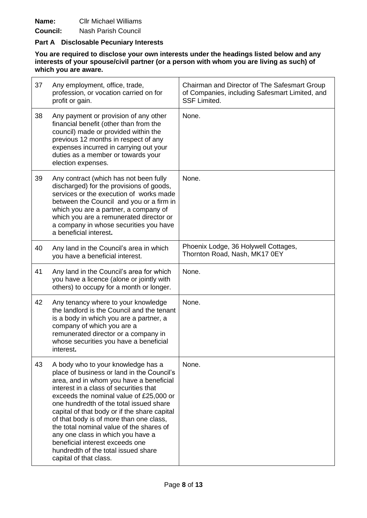**Name:** Cllr Michael Williams

**Council:** Nash Parish Council

#### **Part A Disclosable Pecuniary Interests**

| 37 | Any employment, office, trade,<br>profession, or vocation carried on for<br>profit or gain.                                                                                                                                                                                                                                                                                                                                                                                                                                                 | Chairman and Director of The Safesmart Group<br>of Companies, including Safesmart Limited, and<br><b>SSF Limited.</b> |
|----|---------------------------------------------------------------------------------------------------------------------------------------------------------------------------------------------------------------------------------------------------------------------------------------------------------------------------------------------------------------------------------------------------------------------------------------------------------------------------------------------------------------------------------------------|-----------------------------------------------------------------------------------------------------------------------|
| 38 | Any payment or provision of any other<br>financial benefit (other than from the<br>council) made or provided within the<br>previous 12 months in respect of any<br>expenses incurred in carrying out your<br>duties as a member or towards your<br>election expenses.                                                                                                                                                                                                                                                                       | None.                                                                                                                 |
| 39 | Any contract (which has not been fully<br>discharged) for the provisions of goods,<br>services or the execution of works made<br>between the Council and you or a firm in<br>which you are a partner, a company of<br>which you are a remunerated director or<br>a company in whose securities you have<br>a beneficial interest.                                                                                                                                                                                                           | None.                                                                                                                 |
| 40 | Any land in the Council's area in which<br>you have a beneficial interest.                                                                                                                                                                                                                                                                                                                                                                                                                                                                  | Phoenix Lodge, 36 Holywell Cottages,<br>Thornton Road, Nash, MK17 0EY                                                 |
| 41 | Any land in the Council's area for which<br>you have a licence (alone or jointly with<br>others) to occupy for a month or longer.                                                                                                                                                                                                                                                                                                                                                                                                           | None.                                                                                                                 |
| 42 | Any tenancy where to your knowledge<br>the landlord is the Council and the tenant<br>is a body in which you are a partner, a<br>company of which you are a<br>remunerated director or a company in<br>whose securities you have a beneficial<br>interest.                                                                                                                                                                                                                                                                                   | None.                                                                                                                 |
| 43 | A body who to your knowledge has a<br>place of business or land in the Council's<br>area, and in whom you have a beneficial<br>interest in a class of securities that<br>exceeds the nominal value of £25,000 or<br>one hundredth of the total issued share<br>capital of that body or if the share capital<br>of that body is of more than one class,<br>the total nominal value of the shares of<br>any one class in which you have a<br>beneficial interest exceeds one<br>hundredth of the total issued share<br>capital of that class. | None.                                                                                                                 |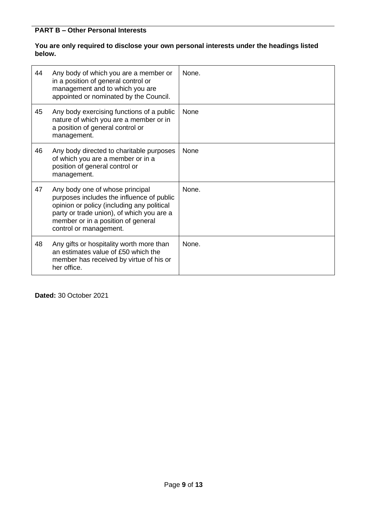### **You are only required to disclose your own personal interests under the headings listed below.**

| 44 | Any body of which you are a member or<br>in a position of general control or<br>management and to which you are<br>appointed or nominated by the Council.                                                                               | None. |
|----|-----------------------------------------------------------------------------------------------------------------------------------------------------------------------------------------------------------------------------------------|-------|
| 45 | Any body exercising functions of a public<br>nature of which you are a member or in<br>a position of general control or<br>management.                                                                                                  | None  |
| 46 | Any body directed to charitable purposes<br>of which you are a member or in a<br>position of general control or<br>management.                                                                                                          | None  |
| 47 | Any body one of whose principal<br>purposes includes the influence of public<br>opinion or policy (including any political<br>party or trade union), of which you are a<br>member or in a position of general<br>control or management. | None. |
| 48 | Any gifts or hospitality worth more than<br>an estimates value of £50 which the<br>member has received by virtue of his or<br>her office.                                                                                               | None. |

**Dated:** 30 October 2021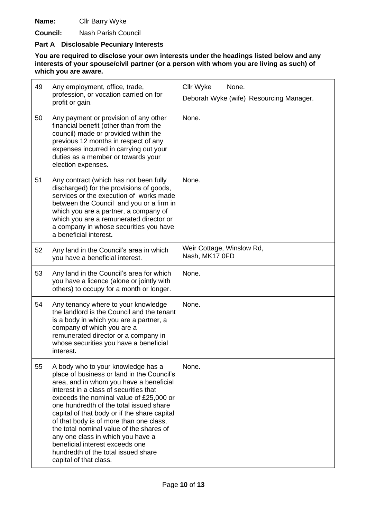**Name:** Cllr Barry Wyke

**Council:** Nash Parish Council

# **Part A Disclosable Pecuniary Interests**

| 49 | Any employment, office, trade,<br>profession, or vocation carried on for<br>profit or gain.                                                                                                                                                                                                                                                                                                                                                                                                                                                 | Cllr Wyke<br>None.<br>Deborah Wyke (wife) Resourcing Manager. |
|----|---------------------------------------------------------------------------------------------------------------------------------------------------------------------------------------------------------------------------------------------------------------------------------------------------------------------------------------------------------------------------------------------------------------------------------------------------------------------------------------------------------------------------------------------|---------------------------------------------------------------|
| 50 | Any payment or provision of any other<br>financial benefit (other than from the<br>council) made or provided within the<br>previous 12 months in respect of any<br>expenses incurred in carrying out your<br>duties as a member or towards your<br>election expenses.                                                                                                                                                                                                                                                                       | None.                                                         |
| 51 | Any contract (which has not been fully<br>discharged) for the provisions of goods,<br>services or the execution of works made<br>between the Council and you or a firm in<br>which you are a partner, a company of<br>which you are a remunerated director or<br>a company in whose securities you have<br>a beneficial interest.                                                                                                                                                                                                           | None.                                                         |
| 52 | Any land in the Council's area in which<br>you have a beneficial interest.                                                                                                                                                                                                                                                                                                                                                                                                                                                                  | Weir Cottage, Winslow Rd,<br>Nash, MK17 0FD                   |
| 53 | Any land in the Council's area for which<br>you have a licence (alone or jointly with<br>others) to occupy for a month or longer.                                                                                                                                                                                                                                                                                                                                                                                                           | None.                                                         |
| 54 | Any tenancy where to your knowledge<br>the landlord is the Council and the tenant<br>is a body in which you are a partner, a<br>company of which you are a<br>remunerated director or a company in<br>whose securities you have a beneficial<br>interest.                                                                                                                                                                                                                                                                                   | None.                                                         |
| 55 | A body who to your knowledge has a<br>place of business or land in the Council's<br>area, and in whom you have a beneficial<br>interest in a class of securities that<br>exceeds the nominal value of £25,000 or<br>one hundredth of the total issued share<br>capital of that body or if the share capital<br>of that body is of more than one class,<br>the total nominal value of the shares of<br>any one class in which you have a<br>beneficial interest exceeds one<br>hundredth of the total issued share<br>capital of that class. | None.                                                         |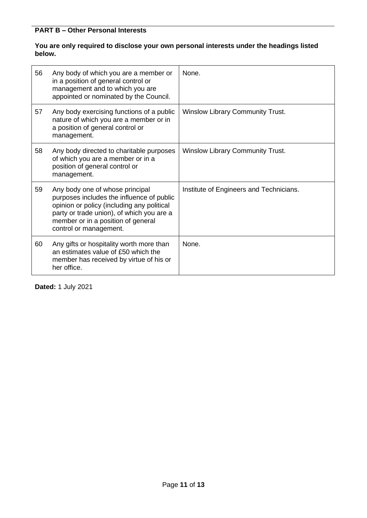### **You are only required to disclose your own personal interests under the headings listed below.**

| 56 | Any body of which you are a member or<br>in a position of general control or<br>management and to which you are<br>appointed or nominated by the Council.                                                                               | None.                                   |
|----|-----------------------------------------------------------------------------------------------------------------------------------------------------------------------------------------------------------------------------------------|-----------------------------------------|
| 57 | Any body exercising functions of a public<br>nature of which you are a member or in<br>a position of general control or<br>management.                                                                                                  | <b>Winslow Library Community Trust.</b> |
| 58 | Any body directed to charitable purposes<br>of which you are a member or in a<br>position of general control or<br>management.                                                                                                          | <b>Winslow Library Community Trust.</b> |
| 59 | Any body one of whose principal<br>purposes includes the influence of public<br>opinion or policy (including any political<br>party or trade union), of which you are a<br>member or in a position of general<br>control or management. | Institute of Engineers and Technicians. |
| 60 | Any gifts or hospitality worth more than<br>an estimates value of £50 which the<br>member has received by virtue of his or<br>her office.                                                                                               | None.                                   |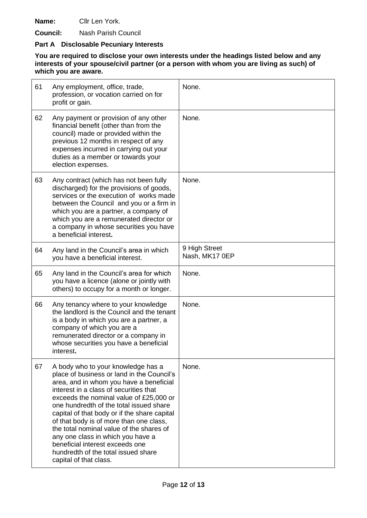**Name:** Cllr Len York.

**Council:** Nash Parish Council

# **Part A Disclosable Pecuniary Interests**

| 61 | Any employment, office, trade,<br>profession, or vocation carried on for<br>profit or gain.                                                                                                                                                                                                                                                                                                                                                                                                                                                 | None.                           |
|----|---------------------------------------------------------------------------------------------------------------------------------------------------------------------------------------------------------------------------------------------------------------------------------------------------------------------------------------------------------------------------------------------------------------------------------------------------------------------------------------------------------------------------------------------|---------------------------------|
| 62 | Any payment or provision of any other<br>financial benefit (other than from the<br>council) made or provided within the<br>previous 12 months in respect of any<br>expenses incurred in carrying out your<br>duties as a member or towards your<br>election expenses.                                                                                                                                                                                                                                                                       | None.                           |
| 63 | Any contract (which has not been fully<br>discharged) for the provisions of goods,<br>services or the execution of works made<br>between the Council and you or a firm in<br>which you are a partner, a company of<br>which you are a remunerated director or<br>a company in whose securities you have<br>a beneficial interest.                                                                                                                                                                                                           | None.                           |
| 64 | Any land in the Council's area in which<br>you have a beneficial interest.                                                                                                                                                                                                                                                                                                                                                                                                                                                                  | 9 High Street<br>Nash, MK17 0EP |
| 65 | Any land in the Council's area for which<br>you have a licence (alone or jointly with<br>others) to occupy for a month or longer.                                                                                                                                                                                                                                                                                                                                                                                                           | None.                           |
| 66 | Any tenancy where to your knowledge<br>the landlord is the Council and the tenant<br>is a body in which you are a partner, a<br>company of which you are a<br>remunerated director or a company in<br>whose securities you have a beneficial<br>interest.                                                                                                                                                                                                                                                                                   | None.                           |
| 67 | A body who to your knowledge has a<br>place of business or land in the Council's<br>area, and in whom you have a beneficial<br>interest in a class of securities that<br>exceeds the nominal value of £25,000 or<br>one hundredth of the total issued share<br>capital of that body or if the share capital<br>of that body is of more than one class,<br>the total nominal value of the shares of<br>any one class in which you have a<br>beneficial interest exceeds one<br>hundredth of the total issued share<br>capital of that class. | None.                           |